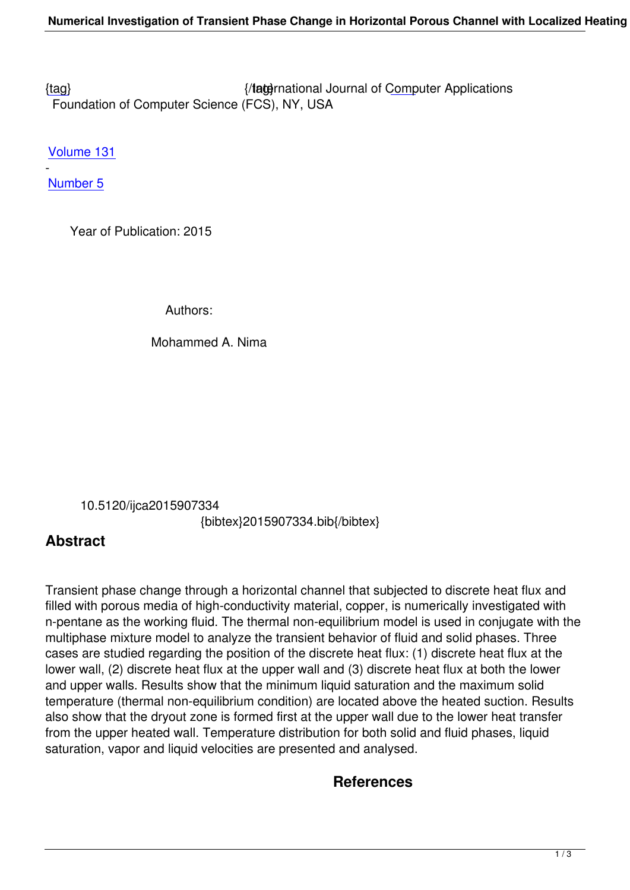{tag} International Journal of Computer Applications Foundation of Computer Science (FCS), NY, USA

[Volu](/research/volume131/number5/nima-2015-ijca-907334.pdf)me 131

- Number 5

 [Year o](/archives/volume131/number5)f Publication: 2015

Authors:

#### Mohammed A. Nima

10.5120/ijca2015907334

{bibtex}2015907334.bib{/bibtex}

## **Abstract**

Transient phase change through a horizontal channel that subjected to discrete heat flux and filled with porous media of high-conductivity material, copper, is numerically investigated with n-pentane as the working fluid. The thermal non-equilibrium model is used in conjugate with the multiphase mixture model to analyze the transient behavior of fluid and solid phases. Three cases are studied regarding the position of the discrete heat flux: (1) discrete heat flux at the lower wall, (2) discrete heat flux at the upper wall and (3) discrete heat flux at both the lower and upper walls. Results show that the minimum liquid saturation and the maximum solid temperature (thermal non-equilibrium condition) are located above the heated suction. Results also show that the dryout zone is formed first at the upper wall due to the lower heat transfer from the upper heated wall. Temperature distribution for both solid and fluid phases, liquid saturation, vapor and liquid velocities are presented and analysed.

### **References**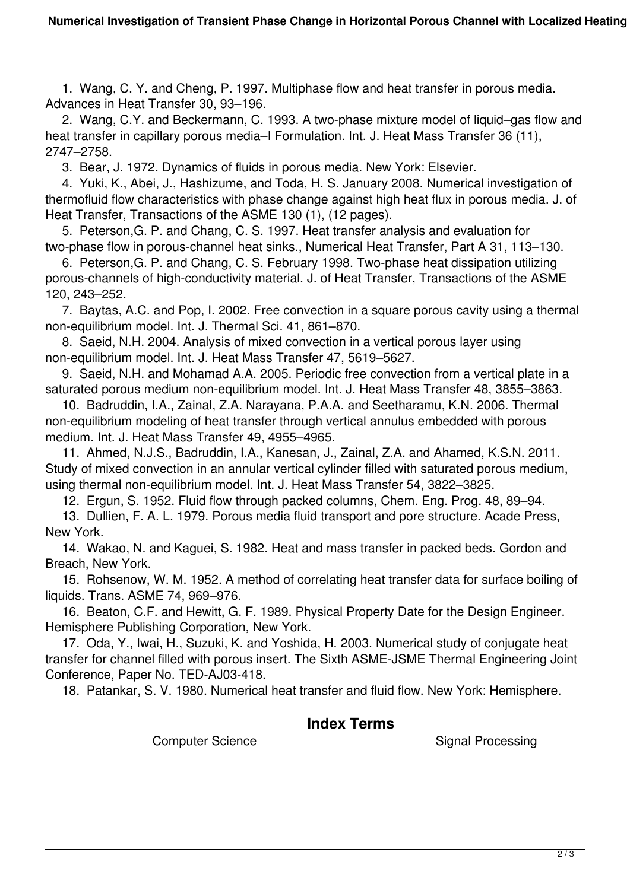1. Wang, C. Y. and Cheng, P. 1997. Multiphase flow and heat transfer in porous media. Advances in Heat Transfer 30, 93–196.

 2. Wang, C.Y. and Beckermann, C. 1993. A two-phase mixture model of liquid–gas flow and heat transfer in capillary porous media–I Formulation. Int. J. Heat Mass Transfer 36 (11), 2747–2758.

3. Bear, J. 1972. Dynamics of fluids in porous media. New York: Elsevier.

 4. Yuki, K., Abei, J., Hashizume, and Toda, H. S. January 2008. Numerical investigation of thermofluid flow characteristics with phase change against high heat flux in porous media. J. of Heat Transfer, Transactions of the ASME 130 (1), (12 pages).

 5. Peterson,G. P. and Chang, C. S. 1997. Heat transfer analysis and evaluation for two-phase flow in porous-channel heat sinks., Numerical Heat Transfer, Part A 31, 113–130.

 6. Peterson,G. P. and Chang, C. S. February 1998. Two-phase heat dissipation utilizing porous-channels of high-conductivity material. J. of Heat Transfer, Transactions of the ASME 120, 243–252.

 7. Baytas, A.C. and Pop, I. 2002. Free convection in a square porous cavity using a thermal non-equilibrium model. Int. J. Thermal Sci. 41, 861–870.

 8. Saeid, N.H. 2004. Analysis of mixed convection in a vertical porous layer using non-equilibrium model. Int. J. Heat Mass Transfer 47, 5619–5627.

 9. Saeid, N.H. and Mohamad A.A. 2005. Periodic free convection from a vertical plate in a saturated porous medium non-equilibrium model. Int. J. Heat Mass Transfer 48, 3855–3863.

 10. Badruddin, I.A., Zainal, Z.A. Narayana, P.A.A. and Seetharamu, K.N. 2006. Thermal non-equilibrium modeling of heat transfer through vertical annulus embedded with porous medium. Int. J. Heat Mass Transfer 49, 4955–4965.

 11. Ahmed, N.J.S., Badruddin, I.A., Kanesan, J., Zainal, Z.A. and Ahamed, K.S.N. 2011. Study of mixed convection in an annular vertical cylinder filled with saturated porous medium, using thermal non-equilibrium model. Int. J. Heat Mass Transfer 54, 3822–3825.

12. Ergun, S. 1952. Fluid flow through packed columns, Chem. Eng. Prog. 48, 89–94.

 13. Dullien, F. A. L. 1979. Porous media fluid transport and pore structure. Acade Press, New York.

 14. Wakao, N. and Kaguei, S. 1982. Heat and mass transfer in packed beds. Gordon and Breach, New York.

 15. Rohsenow, W. M. 1952. A method of correlating heat transfer data for surface boiling of liquids. Trans. ASME 74, 969–976.

 16. Beaton, C.F. and Hewitt, G. F. 1989. Physical Property Date for the Design Engineer. Hemisphere Publishing Corporation, New York.

 17. Oda, Y., Iwai, H., Suzuki, K. and Yoshida, H. 2003. Numerical study of conjugate heat transfer for channel filled with porous insert. The Sixth ASME-JSME Thermal Engineering Joint Conference, Paper No. TED-AJ03-418.

18. Patankar, S. V. 1980. Numerical heat transfer and fluid flow. New York: Hemisphere.

#### **Index Terms**

Computer Science Science Superstanding Signal Processing